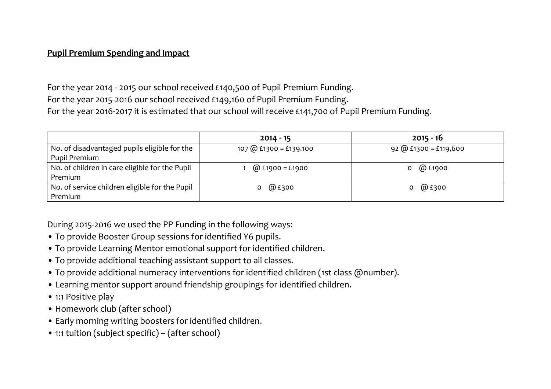## **Pupil Premium Spending and Impact**

For the year 2014 - 2015 our school received £140,500 of Pupil Premium Funding. For the year 2015-2016 our school received £149,160 of Pupil Premium Funding. For the year 2016-2017 it is estimated that our school will receive £141,700 of Pupil Premium Funding.

|                                                | $2014 - 15$            | $2015 - 16$             |  |  |
|------------------------------------------------|------------------------|-------------------------|--|--|
| No. of disadvantaged pupils eligible for the   | 107 @ £1300 = £139.100 | $92$ @ £1300 = £119,600 |  |  |
| Pupil Premium                                  |                        |                         |  |  |
| No. of children in care eligible for the Pupil | @ £1900 = £1900        | @ £1900                 |  |  |
| Premium                                        |                        |                         |  |  |
| No. of service children eligible for the Pupil | 0 $@E300$              | 0 $@E300$               |  |  |
| Premium                                        |                        |                         |  |  |

During 2015-2016 we used the PP Funding in the following ways:

- To provide Booster Group sessions for identified Y6 pupils.
- To provide Learning Mentor emotional support for identified children.
- To provide additional teaching assistant support to all classes.
- To provide additional numeracy interventions for identified children (1st class @number).
- Learning mentor support around friendship groupings for identified children.
- 1:1 Positive play
- Homework club (after school)
- Early morning writing boosters for identified children.
- 1:1 tuition (subject specific) (after school)